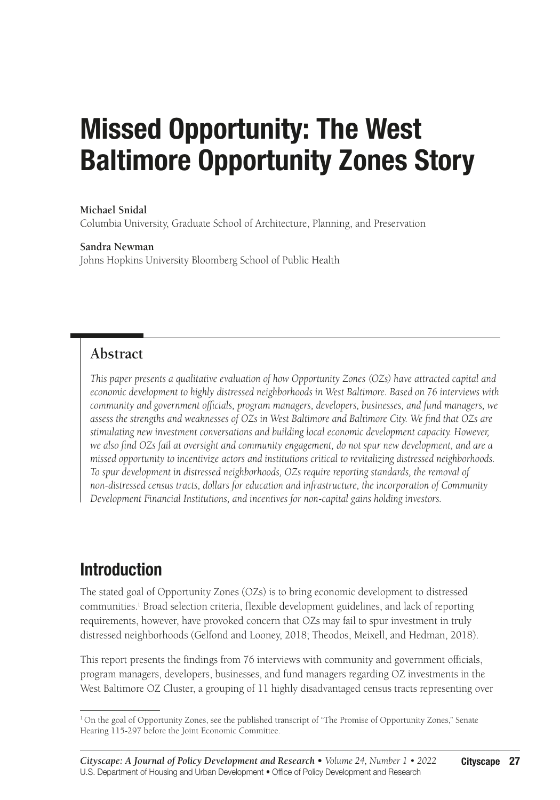# Missed Opportunity: The West Baltimore Opportunity Zones Story

#### **Michael Snidal**

Columbia University, Graduate School of Architecture, Planning, and Preservation

#### **Sandra Newman**

Johns Hopkins University Bloomberg School of Public Health

#### **Abstract**

*This paper presents a qualitative evaluation of how Opportunity Zones (OZs) have attracted capital and economic development to highly distressed neighborhoods in West Baltimore. Based on 76 interviews with community and government officials, program managers, developers, businesses, and fund managers, we assess the strengths and weaknesses of OZs in West Baltimore and Baltimore City. We find that OZs are stimulating new investment conversations and building local economic development capacity. However, we also find OZs fail at oversight and community engagement, do not spur new development, and are a missed opportunity to incentivize actors and institutions critical to revitalizing distressed neighborhoods. To spur development in distressed neighborhoods, OZs require reporting standards, the removal of non-distressed census tracts, dollars for education and infrastructure, the incorporation of Community Development Financial Institutions, and incentives for non-capital gains holding investors.*

### Introduction

The stated goal of Opportunity Zones (OZs) is to bring economic development to distressed communities.<sup>1</sup> Broad selection criteria, flexible development guidelines, and lack of reporting requirements, however, have provoked concern that OZs may fail to spur investment in truly distressed neighborhoods (Gelfond and Looney, 2018; Theodos, Meixell, and Hedman, 2018).

This report presents the findings from 76 interviews with community and government officials, program managers, developers, businesses, and fund managers regarding OZ investments in the West Baltimore OZ Cluster, a grouping of 11 highly disadvantaged census tracts representing over

<sup>1</sup> On the goal of Opportunity Zones, see the published transcript of "The Promise of Opportunity Zones," Senate Hearing 115-297 before the Joint Economic Committee.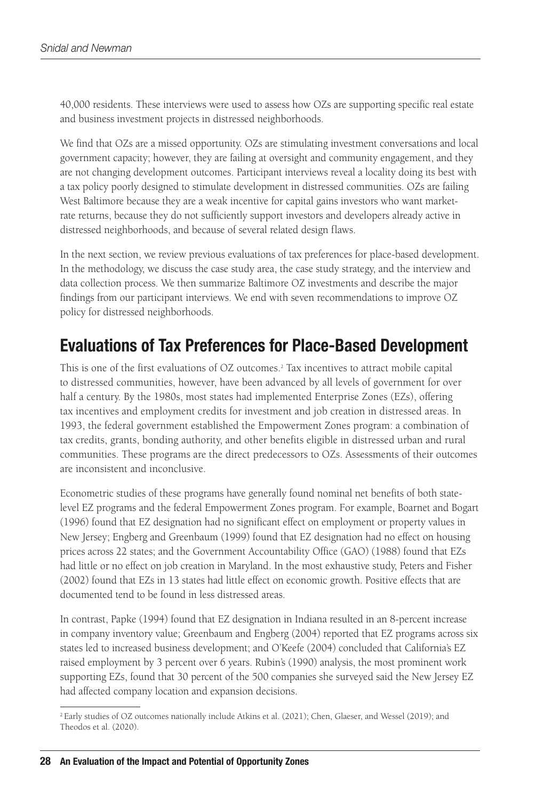40,000 residents. These interviews were used to assess how OZs are supporting specific real estate and business investment projects in distressed neighborhoods.

We find that OZs are a missed opportunity. OZs are stimulating investment conversations and local government capacity; however, they are failing at oversight and community engagement, and they are not changing development outcomes. Participant interviews reveal a locality doing its best with a tax policy poorly designed to stimulate development in distressed communities. OZs are failing West Baltimore because they are a weak incentive for capital gains investors who want marketrate returns, because they do not sufficiently support investors and developers already active in distressed neighborhoods, and because of several related design flaws.

In the next section, we review previous evaluations of tax preferences for place-based development. In the methodology, we discuss the case study area, the case study strategy, and the interview and data collection process. We then summarize Baltimore OZ investments and describe the major findings from our participant interviews. We end with seven recommendations to improve OZ policy for distressed neighborhoods.

### Evaluations of Tax Preferences for Place-Based Development

This is one of the first evaluations of OZ outcomes.2 Tax incentives to attract mobile capital to distressed communities, however, have been advanced by all levels of government for over half a century. By the 1980s, most states had implemented Enterprise Zones (EZs), offering tax incentives and employment credits for investment and job creation in distressed areas. In 1993, the federal government established the Empowerment Zones program: a combination of tax credits, grants, bonding authority, and other benefits eligible in distressed urban and rural communities. These programs are the direct predecessors to OZs. Assessments of their outcomes are inconsistent and inconclusive.

Econometric studies of these programs have generally found nominal net benefits of both statelevel EZ programs and the federal Empowerment Zones program. For example, Boarnet and Bogart (1996) found that EZ designation had no significant effect on employment or property values in New Jersey; Engberg and Greenbaum (1999) found that EZ designation had no effect on housing prices across 22 states; and the Government Accountability Office (GAO) (1988) found that EZs had little or no effect on job creation in Maryland. In the most exhaustive study, Peters and Fisher (2002) found that EZs in 13 states had little effect on economic growth. Positive effects that are documented tend to be found in less distressed areas.

In contrast, Papke (1994) found that EZ designation in Indiana resulted in an 8-percent increase in company inventory value; Greenbaum and Engberg (2004) reported that EZ programs across six states led to increased business development; and O'Keefe (2004) concluded that California's EZ raised employment by 3 percent over 6 years. Rubin's (1990) analysis, the most prominent work supporting EZs, found that 30 percent of the 500 companies she surveyed said the New Jersey EZ had affected company location and expansion decisions.

<sup>2</sup> Early studies of OZ outcomes nationally include Atkins et al. (2021); Chen, Glaeser, and Wessel (2019); and Theodos et al. (2020).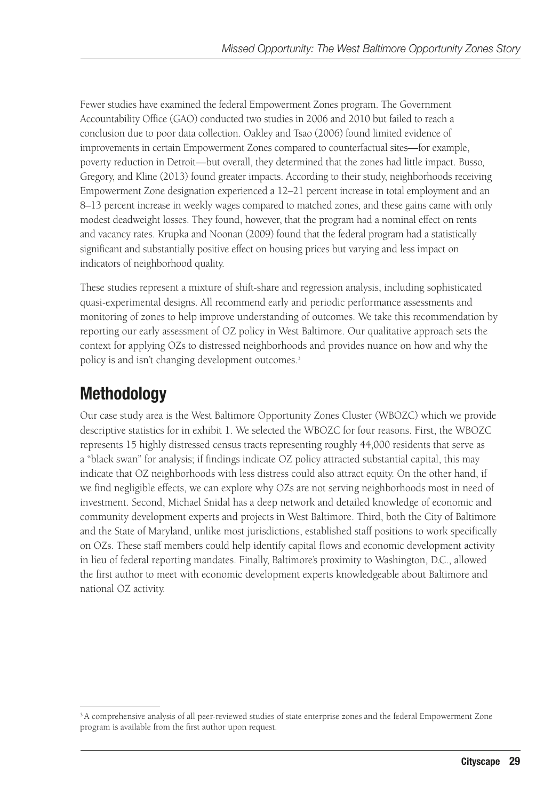Fewer studies have examined the federal Empowerment Zones program. The Government Accountability Office (GAO) conducted two studies in 2006 and 2010 but failed to reach a conclusion due to poor data collection. Oakley and Tsao (2006) found limited evidence of improvements in certain Empowerment Zones compared to counterfactual sites—for example, poverty reduction in Detroit—but overall, they determined that the zones had little impact. Busso, Gregory, and Kline (2013) found greater impacts. According to their study, neighborhoods receiving Empowerment Zone designation experienced a 12–21 percent increase in total employment and an 8–13 percent increase in weekly wages compared to matched zones, and these gains came with only modest deadweight losses. They found, however, that the program had a nominal effect on rents and vacancy rates. Krupka and Noonan (2009) found that the federal program had a statistically significant and substantially positive effect on housing prices but varying and less impact on indicators of neighborhood quality.

These studies represent a mixture of shift-share and regression analysis, including sophisticated quasi-experimental designs. All recommend early and periodic performance assessments and monitoring of zones to help improve understanding of outcomes. We take this recommendation by reporting our early assessment of OZ policy in West Baltimore. Our qualitative approach sets the context for applying OZs to distressed neighborhoods and provides nuance on how and why the policy is and isn't changing development outcomes.<sup>3</sup>

### Methodology

Our case study area is the West Baltimore Opportunity Zones Cluster (WBOZC) which we provide descriptive statistics for in exhibit 1. We selected the WBOZC for four reasons. First, the WBOZC represents 15 highly distressed census tracts representing roughly 44,000 residents that serve as a "black swan" for analysis; if findings indicate OZ policy attracted substantial capital, this may indicate that OZ neighborhoods with less distress could also attract equity. On the other hand, if we find negligible effects, we can explore why OZs are not serving neighborhoods most in need of investment. Second, Michael Snidal has a deep network and detailed knowledge of economic and community development experts and projects in West Baltimore. Third, both the City of Baltimore and the State of Maryland, unlike most jurisdictions, established staff positions to work specifically on OZs. These staff members could help identify capital flows and economic development activity in lieu of federal reporting mandates. Finally, Baltimore's proximity to Washington, D.C., allowed the first author to meet with economic development experts knowledgeable about Baltimore and national OZ activity.

<sup>&</sup>lt;sup>3</sup> A comprehensive analysis of all peer-reviewed studies of state enterprise zones and the federal Empowerment Zone program is available from the first author upon request.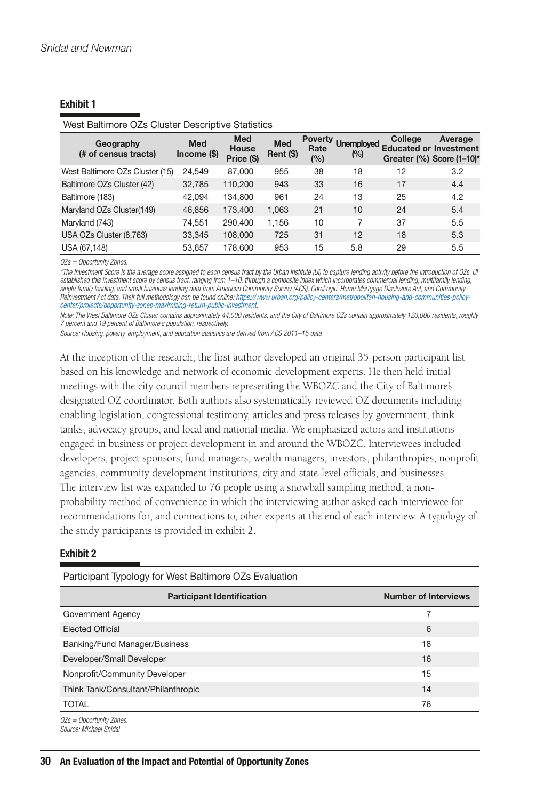#### Exhibit 1

| West Baltimore OZs Cluster Descriptive Statistics |                             |                                          |                         |                               |                          |                                          |                                            |  |  |
|---------------------------------------------------|-----------------------------|------------------------------------------|-------------------------|-------------------------------|--------------------------|------------------------------------------|--------------------------------------------|--|--|
| Geography<br>(# of census tracts)                 | <b>Med</b><br>$Income$ (\$) | <b>Med</b><br><b>House</b><br>Price (\$) | <b>Med</b><br>Rent (\$) | <b>Poverty</b><br>Rate<br>(%) | <b>Unemployed</b><br>(%) | College<br><b>Educated or Investment</b> | Average<br>Greater $(\%)$ Score $(1-10)^*$ |  |  |
| West Baltimore OZs Cluster (15)                   | 24.549                      | 87,000                                   | 955                     | 38                            | 18                       | 12                                       | 3.2                                        |  |  |
| Baltimore OZs Cluster (42)                        | 32,785                      | 110,200                                  | 943                     | 33                            | 16                       | 17                                       | 4.4                                        |  |  |
| Baltimore (183)                                   | 42.094                      | 134,800                                  | 961                     | 24                            | 13                       | 25                                       | 4.2                                        |  |  |
| Maryland OZs Cluster(149)                         | 46,856                      | 173,400                                  | 1,063                   | 21                            | 10                       | 24                                       | 5.4                                        |  |  |
| Maryland (743)                                    | 74,551                      | 290,400                                  | 1,156                   | 10                            | 7                        | 37                                       | 5.5                                        |  |  |
| USA OZs Cluster (8,763)                           | 33,345                      | 108,000                                  | 725                     | 31                            | 12                       | 18                                       | 5.3                                        |  |  |
| USA (67,148)                                      | 53,657                      | 178,600                                  | 953                     | 15                            | 5.8                      | 29                                       | 5.5                                        |  |  |

*OZs = Opportunity Zones.*

*\*The Investment Score is the average score assigned to each census tract by the Urban Institute (UI) to capture lending activity before the introduction of OZs. UI*  established this investment score by census tract, ranging from 1–10, through a composite index which incorporates commercial lending, multifamily lending, *single family lending, and small business lending data from American Community Survey (ACS), CoreLogic, Home Mortgage Disclosure Act, and Community Reinvestment Act data. Their full methodology can be found online: [https://www.urban.org/policy-centers/metropolitan-housing-and-communities-policy](https://www.urban.org/policy-centers/metropolitan-housing-and-communities-policy-center/projects/opportunity-zones-maximizing-return-public-investment)[center/projects/opportunity-zones-maximizing-return-public-investment.](https://www.urban.org/policy-centers/metropolitan-housing-and-communities-policy-center/projects/opportunity-zones-maximizing-return-public-investment)*

*Note: The West Baltimore OZs Cluster contains approximately 44,000 residents, and the City of Baltimore OZs contain approximately 120,000 residents, roughly 7 percent and 19 percent of Baltimore's population, respectively.*

*Source: Housing, poverty, employment, and education statistics are derived from ACS 2011–15 data*

At the inception of the research, the first author developed an original 35-person participant list based on his knowledge and network of economic development experts. He then held initial meetings with the city council members representing the WBOZC and the City of Baltimore's designated OZ coordinator. Both authors also systematically reviewed OZ documents including enabling legislation, congressional testimony, articles and press releases by government, think tanks, advocacy groups, and local and national media. We emphasized actors and institutions engaged in business or project development in and around the WBOZC. Interviewees included developers, project sponsors, fund managers, wealth managers, investors, philanthropies, nonprofit agencies, community development institutions, city and state-level officials, and businesses. The interview list was expanded to 76 people using a snowball sampling method, a nonprobability method of convenience in which the interviewing author asked each interviewee for recommendations for, and connections to, other experts at the end of each interview. A typology of the study participants is provided in exhibit 2.

#### Exhibit 2

Participant Typology for West Baltimore OZs Evaluation

| <b>Participant Identification</b>   | <b>Number of Interviews</b> |
|-------------------------------------|-----------------------------|
| Government Agency                   |                             |
| <b>Elected Official</b>             | 6                           |
| Banking/Fund Manager/Business       | 18                          |
| Developer/Small Developer           | 16                          |
| Nonprofit/Community Developer       | 15                          |
| Think Tank/Consultant/Philanthropic | 14                          |
| <b>TOTAL</b>                        | 76                          |
| -- - - - -                          |                             |

*OZs = Opportunity Zones. Source: Michael Snidal*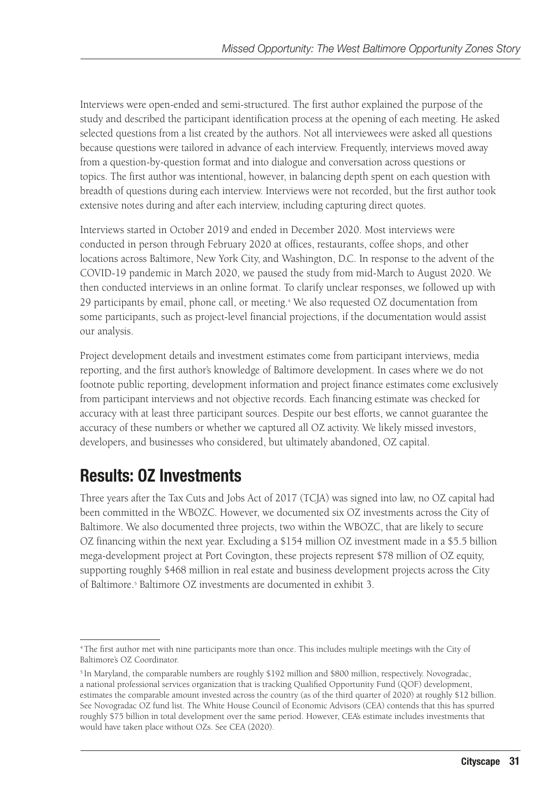Interviews were open-ended and semi-structured. The first author explained the purpose of the study and described the participant identification process at the opening of each meeting. He asked selected questions from a list created by the authors. Not all interviewees were asked all questions because questions were tailored in advance of each interview. Frequently, interviews moved away from a question-by-question format and into dialogue and conversation across questions or topics. The first author was intentional, however, in balancing depth spent on each question with breadth of questions during each interview. Interviews were not recorded, but the first author took extensive notes during and after each interview, including capturing direct quotes.

Interviews started in October 2019 and ended in December 2020. Most interviews were conducted in person through February 2020 at offices, restaurants, coffee shops, and other locations across Baltimore, New York City, and Washington, D.C. In response to the advent of the COVID-19 pandemic in March 2020, we paused the study from mid-March to August 2020. We then conducted interviews in an online format. To clarify unclear responses, we followed up with 29 participants by email, phone call, or meeting.4 We also requested OZ documentation from some participants, such as project-level financial projections, if the documentation would assist our analysis.

Project development details and investment estimates come from participant interviews, media reporting, and the first author's knowledge of Baltimore development. In cases where we do not footnote public reporting, development information and project finance estimates come exclusively from participant interviews and not objective records. Each financing estimate was checked for accuracy with at least three participant sources. Despite our best efforts, we cannot guarantee the accuracy of these numbers or whether we captured all OZ activity. We likely missed investors, developers, and businesses who considered, but ultimately abandoned, OZ capital.

### Results: OZ Investments

Three years after the Tax Cuts and Jobs Act of 2017 (TCJA) was signed into law, no OZ capital had been committed in the WBOZC. However, we documented six OZ investments across the City of Baltimore. We also documented three projects, two within the WBOZC, that are likely to secure OZ financing within the next year. Excluding a \$154 million OZ investment made in a \$5.5 billion mega-development project at Port Covington, these projects represent \$78 million of OZ equity, supporting roughly \$468 million in real estate and business development projects across the City of Baltimore.<sup>5</sup> Baltimore OZ investments are documented in exhibit 3.

<sup>4</sup> The first author met with nine participants more than once. This includes multiple meetings with the City of Baltimore's OZ Coordinator.

<sup>&</sup>lt;sup>5</sup> In Maryland, the comparable numbers are roughly \$192 million and \$800 million, respectively. Novogradac, a national professional services organization that is tracking Qualified Opportunity Fund (QOF) development, estimates the comparable amount invested across the country (as of the third quarter of 2020) at roughly \$12 billion. See Novogradac OZ fund list. The White House Council of Economic Advisors (CEA) contends that this has spurred roughly \$75 billion in total development over the same period. However, CEA's estimate includes investments that would have taken place without OZs. See CEA (2020).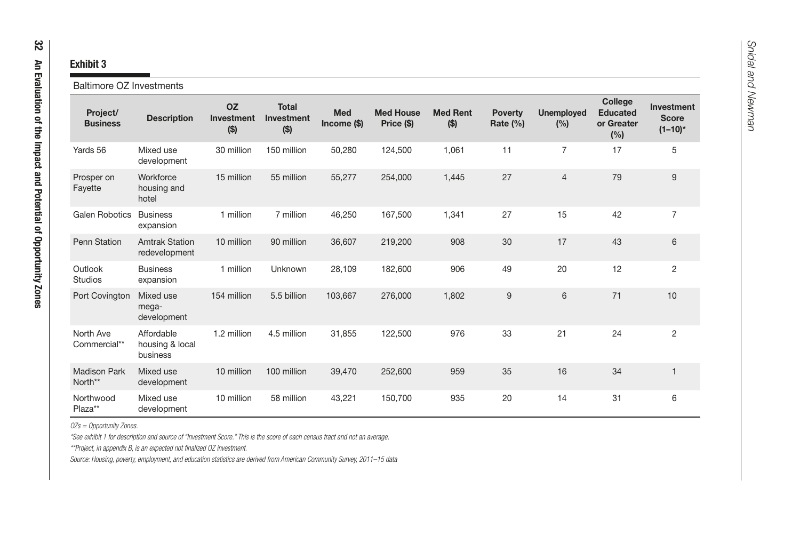| <b>Exhibit 3</b><br><b>Baltimore OZ Investments</b> |                                           |                                   |                                       |                      |                                |                          |                            |                          |                                                  |                                            |
|-----------------------------------------------------|-------------------------------------------|-----------------------------------|---------------------------------------|----------------------|--------------------------------|--------------------------|----------------------------|--------------------------|--------------------------------------------------|--------------------------------------------|
| Project/<br><b>Business</b>                         | <b>Description</b>                        | <b>OZ</b><br>Investment<br>( \$ ) | <b>Total</b><br>Investment<br>$($ \$) | Med<br>$Income$ (\$) | <b>Med House</b><br>Price (\$) | <b>Med Rent</b><br>( \$) | <b>Poverty</b><br>Rate (%) | <b>Unemployed</b><br>(%) | College<br><b>Educated</b><br>or Greater<br>(% ) | Investment<br><b>Score</b><br>$(1 - 10)^*$ |
| Yards 56                                            | Mixed use<br>development                  | 30 million                        | 150 million                           | 50,280               | 124,500                        | 1,061                    | 11                         | $\overline{7}$           | 17                                               | 5                                          |
| Prosper on<br>Fayette                               | Workforce<br>housing and<br>hotel         | 15 million                        | 55 million                            | 55,277               | 254,000                        | 1,445                    | 27                         | $\overline{4}$           | 79                                               | 9                                          |
| <b>Galen Robotics</b>                               | <b>Business</b><br>expansion              | 1 million                         | 7 million                             | 46,250               | 167,500                        | 1,341                    | 27                         | 15                       | 42                                               | $\overline{7}$                             |
| Penn Station                                        | <b>Amtrak Station</b><br>redevelopment    | 10 million                        | 90 million                            | 36,607               | 219,200                        | 908                      | 30                         | 17                       | 43                                               | 6                                          |
| Outlook<br><b>Studios</b>                           | <b>Business</b><br>expansion              | 1 million                         | Unknown                               | 28,109               | 182,600                        | 906                      | 49                         | 20                       | 12                                               | $\overline{c}$                             |
| Port Covington                                      | Mixed use<br>mega-<br>development         | 154 million                       | 5.5 billion                           | 103,667              | 276,000                        | 1,802                    | 9                          | 6                        | 71                                               | 10                                         |
| North Ave<br>Commercial**                           | Affordable<br>housing & local<br>business | 1.2 million                       | 4.5 million                           | 31,855               | 122,500                        | 976                      | 33                         | 21                       | 24                                               | $\overline{c}$                             |
| <b>Madison Park</b><br>North**                      | Mixed use<br>development                  | 10 million                        | 100 million                           | 39,470               | 252,600                        | 959                      | 35                         | 16                       | 34                                               | $\mathbf{1}$                               |
| Northwood<br>Plaza**                                | Mixed use<br>development                  | 10 million                        | 58 million                            | 43,221               | 150,700                        | 935                      | 20                         | 14                       | 31                                               | 6                                          |

*OZs = Opportunity Zones.*

*\*See exhibit 1 for description and source of "Investment Score." This is the score of each census tract and not an average.*

*\*\*Project, in appendix B, is an expected not finalized OZ investment.*

*Source: Housing, poverty, employment, and education statistics are derived from American Community Survey, 2011–15 data*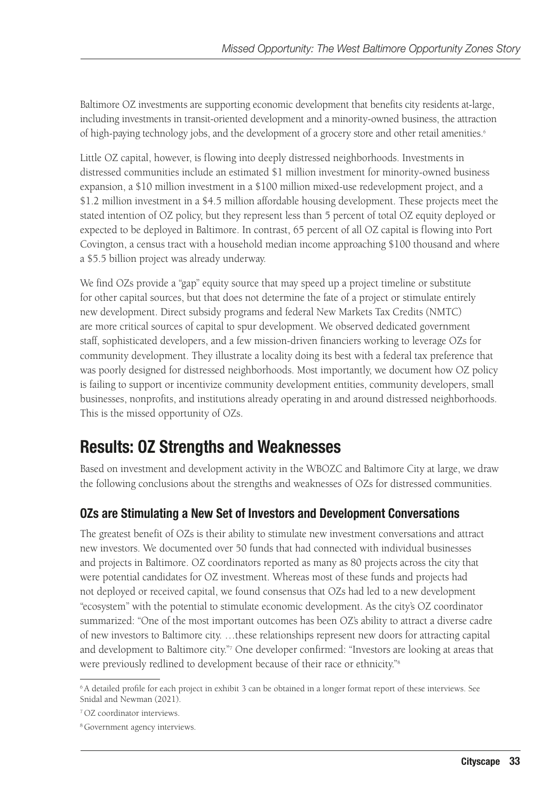Baltimore OZ investments are supporting economic development that benefits city residents at-large, including investments in transit-oriented development and a minority-owned business, the attraction of high-paying technology jobs, and the development of a grocery store and other retail amenities.<sup>6</sup>

Little OZ capital, however, is flowing into deeply distressed neighborhoods. Investments in distressed communities include an estimated \$1 million investment for minority-owned business expansion, a \$10 million investment in a \$100 million mixed-use redevelopment project, and a \$1.2 million investment in a \$4.5 million affordable housing development. These projects meet the stated intention of OZ policy, but they represent less than 5 percent of total OZ equity deployed or expected to be deployed in Baltimore. In contrast, 65 percent of all OZ capital is flowing into Port Covington, a census tract with a household median income approaching \$100 thousand and where a \$5.5 billion project was already underway.

We find OZs provide a "gap" equity source that may speed up a project timeline or substitute for other capital sources, but that does not determine the fate of a project or stimulate entirely new development. Direct subsidy programs and federal New Markets Tax Credits (NMTC) are more critical sources of capital to spur development. We observed dedicated government staff, sophisticated developers, and a few mission-driven financiers working to leverage OZs for community development. They illustrate a locality doing its best with a federal tax preference that was poorly designed for distressed neighborhoods. Most importantly, we document how OZ policy is failing to support or incentivize community development entities, community developers, small businesses, nonprofits, and institutions already operating in and around distressed neighborhoods. This is the missed opportunity of OZs.

### Results: OZ Strengths and Weaknesses

Based on investment and development activity in the WBOZC and Baltimore City at large, we draw the following conclusions about the strengths and weaknesses of OZs for distressed communities.

#### OZs are Stimulating a New Set of Investors and Development Conversations

The greatest benefit of OZs is their ability to stimulate new investment conversations and attract new investors. We documented over 50 funds that had connected with individual businesses and projects in Baltimore. OZ coordinators reported as many as 80 projects across the city that were potential candidates for OZ investment. Whereas most of these funds and projects had not deployed or received capital, we found consensus that OZs had led to a new development "ecosystem" with the potential to stimulate economic development. As the city's OZ coordinator summarized: "One of the most important outcomes has been OZ's ability to attract a diverse cadre of new investors to Baltimore city. …these relationships represent new doors for attracting capital and development to Baltimore city."7 One developer confirmed: "Investors are looking at areas that were previously redlined to development because of their race or ethnicity."<sup>8</sup>

<sup>6</sup> A detailed profile for each project in exhibit 3 can be obtained in a longer format report of these interviews. See Snidal and Newman (2021).

<sup>7</sup> OZ coordinator interviews.

<sup>8</sup> Government agency interviews.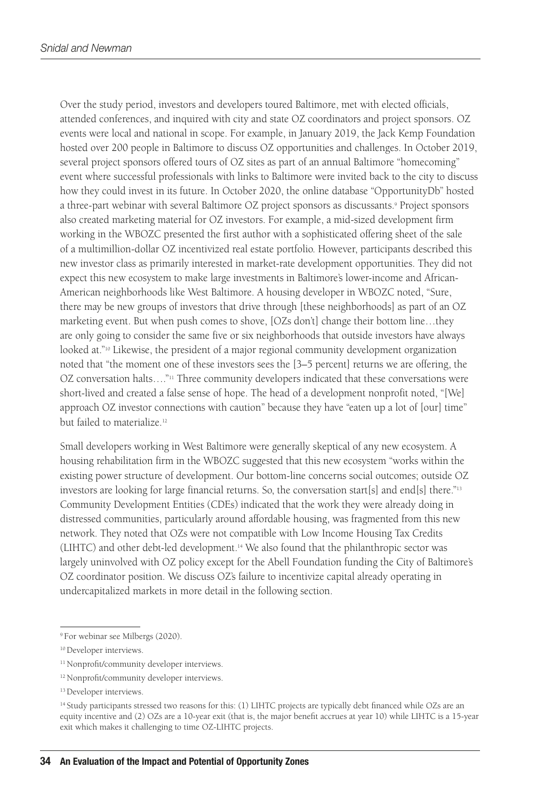Over the study period, investors and developers toured Baltimore, met with elected officials, attended conferences, and inquired with city and state OZ coordinators and project sponsors. OZ events were local and national in scope. For example, in January 2019, the Jack Kemp Foundation hosted over 200 people in Baltimore to discuss OZ opportunities and challenges. In October 2019, several project sponsors offered tours of OZ sites as part of an annual Baltimore "homecoming" event where successful professionals with links to Baltimore were invited back to the city to discuss how they could invest in its future. In October 2020, the online database "OpportunityDb" hosted a three-part webinar with several Baltimore OZ project sponsors as discussants.9 Project sponsors also created marketing material for OZ investors. For example, a mid-sized development firm working in the WBOZC presented the first author with a sophisticated offering sheet of the sale of a multimillion-dollar OZ incentivized real estate portfolio. However, participants described this new investor class as primarily interested in market-rate development opportunities. They did not expect this new ecosystem to make large investments in Baltimore's lower-income and African-American neighborhoods like West Baltimore. A housing developer in WBOZC noted, "Sure, there may be new groups of investors that drive through [these neighborhoods] as part of an OZ marketing event. But when push comes to shove, [OZs don't] change their bottom line…they are only going to consider the same five or six neighborhoods that outside investors have always looked at."<sup>10</sup> Likewise, the president of a major regional community development organization noted that "the moment one of these investors sees the [3–5 percent] returns we are offering, the OZ conversation halts...."<sup>11</sup> Three community developers indicated that these conversations were short-lived and created a false sense of hope. The head of a development nonprofit noted, "[We] approach OZ investor connections with caution" because they have "eaten up a lot of [our] time" but failed to materialize.<sup>12</sup>

Small developers working in West Baltimore were generally skeptical of any new ecosystem. A housing rehabilitation firm in the WBOZC suggested that this new ecosystem "works within the existing power structure of development. Our bottom-line concerns social outcomes; outside OZ investors are looking for large financial returns. So, the conversation start[s] and end[s] there."13 Community Development Entities (CDEs) indicated that the work they were already doing in distressed communities, particularly around affordable housing, was fragmented from this new network. They noted that OZs were not compatible with Low Income Housing Tax Credits (LIHTC) and other debt-led development.14 We also found that the philanthropic sector was largely uninvolved with OZ policy except for the Abell Foundation funding the City of Baltimore's OZ coordinator position. We discuss OZ's failure to incentivize capital already operating in undercapitalized markets in more detail in the following section.

<sup>9</sup> For webinar see Milbergs (2020).

<sup>&</sup>lt;sup>10</sup> Developer interviews.

<sup>&</sup>lt;sup>11</sup> Nonprofit/community developer interviews.

<sup>12</sup> Nonprofit/community developer interviews.

<sup>&</sup>lt;sup>13</sup> Developer interviews.

<sup>&</sup>lt;sup>14</sup> Study participants stressed two reasons for this: (1) LIHTC projects are typically debt financed while OZs are an equity incentive and (2) OZs are a 10-year exit (that is, the major benefit accrues at year 10) while LIHTC is a 15-year exit which makes it challenging to time OZ-LIHTC projects.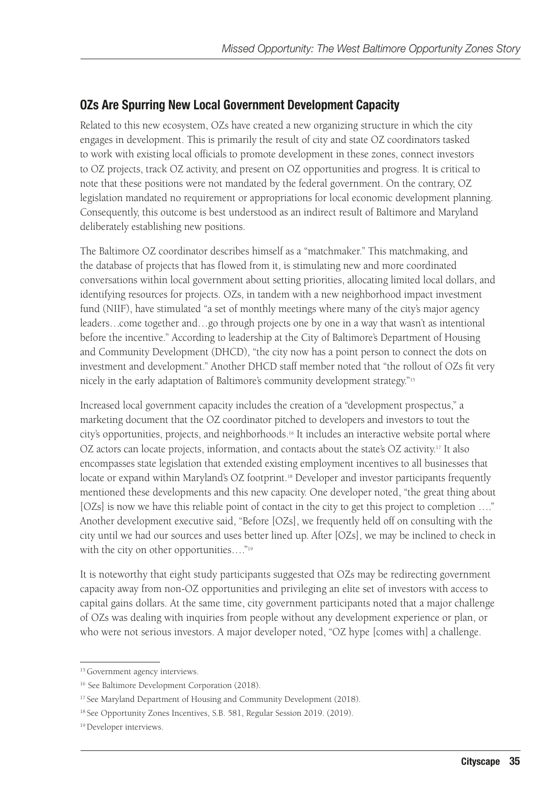#### OZs Are Spurring New Local Government Development Capacity

Related to this new ecosystem, OZs have created a new organizing structure in which the city engages in development. This is primarily the result of city and state OZ coordinators tasked to work with existing local officials to promote development in these zones, connect investors to OZ projects, track OZ activity, and present on OZ opportunities and progress. It is critical to note that these positions were not mandated by the federal government. On the contrary, OZ legislation mandated no requirement or appropriations for local economic development planning. Consequently, this outcome is best understood as an indirect result of Baltimore and Maryland deliberately establishing new positions.

The Baltimore OZ coordinator describes himself as a "matchmaker." This matchmaking, and the database of projects that has flowed from it, is stimulating new and more coordinated conversations within local government about setting priorities, allocating limited local dollars, and identifying resources for projects. OZs, in tandem with a new neighborhood impact investment fund (NIIF), have stimulated "a set of monthly meetings where many of the city's major agency leaders…come together and…go through projects one by one in a way that wasn't as intentional before the incentive." According to leadership at the City of Baltimore's Department of Housing and Community Development (DHCD), "the city now has a point person to connect the dots on investment and development." Another DHCD staff member noted that "the rollout of OZs fit very nicely in the early adaptation of Baltimore's community development strategy."15

Increased local government capacity includes the creation of a "development prospectus," a marketing document that the OZ coordinator pitched to developers and investors to tout the city's opportunities, projects, and neighborhoods.16 It includes an interactive website portal where OZ actors can locate projects, information, and contacts about the state's OZ activity.17 It also encompasses state legislation that extended existing employment incentives to all businesses that locate or expand within Maryland's OZ footprint.<sup>18</sup> Developer and investor participants frequently mentioned these developments and this new capacity. One developer noted, "the great thing about [OZs] is now we have this reliable point of contact in the city to get this project to completion …." Another development executive said, "Before [OZs], we frequently held off on consulting with the city until we had our sources and uses better lined up. After [OZs], we may be inclined to check in with the city on other opportunities...."<sup>19</sup>

It is noteworthy that eight study participants suggested that OZs may be redirecting government capacity away from non-OZ opportunities and privileging an elite set of investors with access to capital gains dollars. At the same time, city government participants noted that a major challenge of OZs was dealing with inquiries from people without any development experience or plan, or who were not serious investors. A major developer noted, "OZ hype [comes with] a challenge.

<sup>&</sup>lt;sup>15</sup> Government agency interviews.

<sup>&</sup>lt;sup>16</sup> See Baltimore Development Corporation (2018).

<sup>&</sup>lt;sup>17</sup> See Maryland Department of Housing and Community Development (2018).

<sup>&</sup>lt;sup>18</sup> See Opportunity Zones Incentives, S.B. 581, Regular Session 2019. (2019).

<sup>&</sup>lt;sup>19</sup> Developer interviews.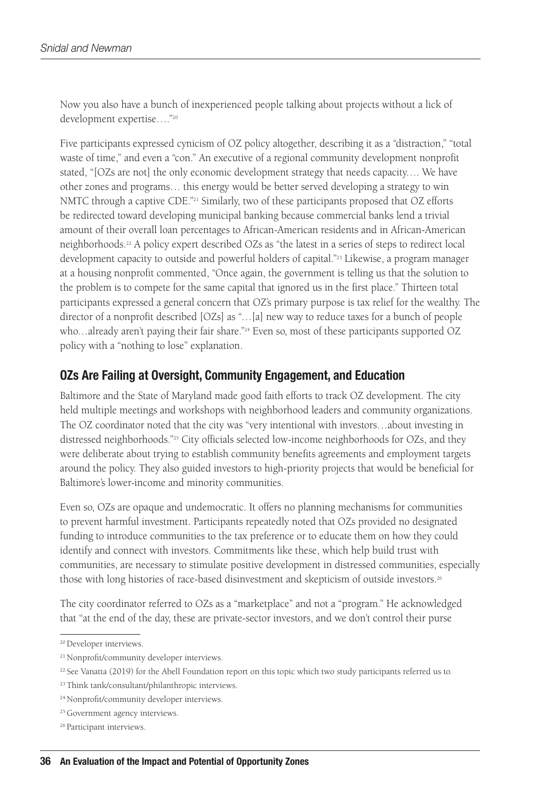Now you also have a bunch of inexperienced people talking about projects without a lick of development expertise…."20

Five participants expressed cynicism of OZ policy altogether, describing it as a "distraction," "total waste of time," and even a "con." An executive of a regional community development nonprofit stated, "[OZs are not] the only economic development strategy that needs capacity…. We have other zones and programs… this energy would be better served developing a strategy to win NMTC through a captive CDE."<sup>21</sup> Similarly, two of these participants proposed that OZ efforts be redirected toward developing municipal banking because commercial banks lend a trivial amount of their overall loan percentages to African-American residents and in African-American neighborhoods.22 A policy expert described OZs as "the latest in a series of steps to redirect local development capacity to outside and powerful holders of capital."23 Likewise, a program manager at a housing nonprofit commented, "Once again, the government is telling us that the solution to the problem is to compete for the same capital that ignored us in the first place." Thirteen total participants expressed a general concern that OZ's primary purpose is tax relief for the wealthy. The director of a nonprofit described [OZs] as "…[a] new way to reduce taxes for a bunch of people who…already aren't paying their fair share."<sup>24</sup> Even so, most of these participants supported OZ policy with a "nothing to lose" explanation.

#### OZs Are Failing at Oversight, Community Engagement, and Education

Baltimore and the State of Maryland made good faith efforts to track OZ development. The city held multiple meetings and workshops with neighborhood leaders and community organizations. The OZ coordinator noted that the city was "very intentional with investors…about investing in distressed neighborhoods."25 City officials selected low-income neighborhoods for OZs, and they were deliberate about trying to establish community benefits agreements and employment targets around the policy. They also guided investors to high-priority projects that would be beneficial for Baltimore's lower-income and minority communities.

Even so, OZs are opaque and undemocratic. It offers no planning mechanisms for communities to prevent harmful investment. Participants repeatedly noted that OZs provided no designated funding to introduce communities to the tax preference or to educate them on how they could identify and connect with investors. Commitments like these, which help build trust with communities, are necessary to stimulate positive development in distressed communities, especially those with long histories of race-based disinvestment and skepticism of outside investors.<sup>26</sup>

The city coordinator referred to OZs as a "marketplace" and not a "program." He acknowledged that "at the end of the day, these are private-sector investors, and we don't control their purse

<sup>&</sup>lt;sup>20</sup> Developer interviews.

<sup>&</sup>lt;sup>21</sup> Nonprofit/community developer interviews.

 $22$  See Vanatta (2019) for the Abell Foundation report on this topic which two study participants referred us to.

<sup>23</sup> Think tank/consultant/philanthropic interviews.

<sup>24</sup> Nonprofit/community developer interviews.

<sup>&</sup>lt;sup>25</sup> Government agency interviews.

<sup>&</sup>lt;sup>26</sup> Participant interviews.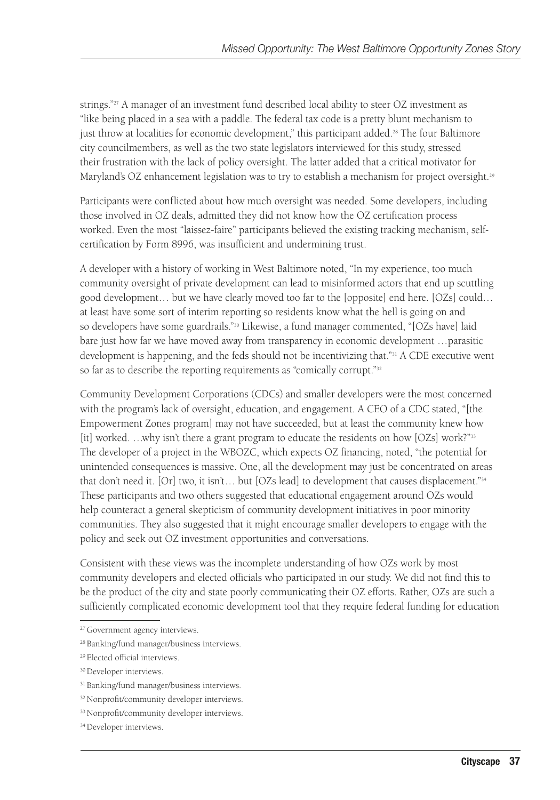strings."<sup>27</sup> A manager of an investment fund described local ability to steer OZ investment as "like being placed in a sea with a paddle. The federal tax code is a pretty blunt mechanism to just throw at localities for economic development," this participant added.<sup>28</sup> The four Baltimore city councilmembers, as well as the two state legislators interviewed for this study, stressed their frustration with the lack of policy oversight. The latter added that a critical motivator for Maryland's OZ enhancement legislation was to try to establish a mechanism for project oversight.<sup>29</sup>

Participants were conflicted about how much oversight was needed. Some developers, including those involved in OZ deals, admitted they did not know how the OZ certification process worked. Even the most "laissez-faire" participants believed the existing tracking mechanism, selfcertification by Form 8996, was insufficient and undermining trust.

A developer with a history of working in West Baltimore noted, "In my experience, too much community oversight of private development can lead to misinformed actors that end up scuttling good development… but we have clearly moved too far to the [opposite] end here. [OZs] could… at least have some sort of interim reporting so residents know what the hell is going on and so developers have some guardrails."<sup>30</sup> Likewise, a fund manager commented, "[OZs have] laid bare just how far we have moved away from transparency in economic development …parasitic development is happening, and the feds should not be incentivizing that."<sup>31</sup> A CDE executive went so far as to describe the reporting requirements as "comically corrupt."<sup>32</sup>

Community Development Corporations (CDCs) and smaller developers were the most concerned with the program's lack of oversight, education, and engagement. A CEO of a CDC stated, "[the Empowerment Zones program] may not have succeeded, but at least the community knew how [it] worked. ...why isn't there a grant program to educate the residents on how [OZs] work?"<sup>33</sup> The developer of a project in the WBOZC, which expects OZ financing, noted, "the potential for unintended consequences is massive. One, all the development may just be concentrated on areas that don't need it. [Or] two, it isn't… but [OZs lead] to development that causes displacement."34 These participants and two others suggested that educational engagement around OZs would help counteract a general skepticism of community development initiatives in poor minority communities. They also suggested that it might encourage smaller developers to engage with the policy and seek out OZ investment opportunities and conversations.

Consistent with these views was the incomplete understanding of how OZs work by most community developers and elected officials who participated in our study. We did not find this to be the product of the city and state poorly communicating their OZ efforts. Rather, OZs are such a sufficiently complicated economic development tool that they require federal funding for education

<sup>&</sup>lt;sup>27</sup> Government agency interviews.

<sup>28</sup> Banking/fund manager/business interviews.

<sup>29</sup> Elected official interviews.

<sup>&</sup>lt;sup>30</sup> Developer interviews.

<sup>&</sup>lt;sup>31</sup> Banking/fund manager/business interviews.

<sup>&</sup>lt;sup>32</sup> Nonprofit/community developer interviews.

<sup>&</sup>lt;sup>33</sup> Nonprofit/community developer interviews.

<sup>&</sup>lt;sup>34</sup> Developer interviews.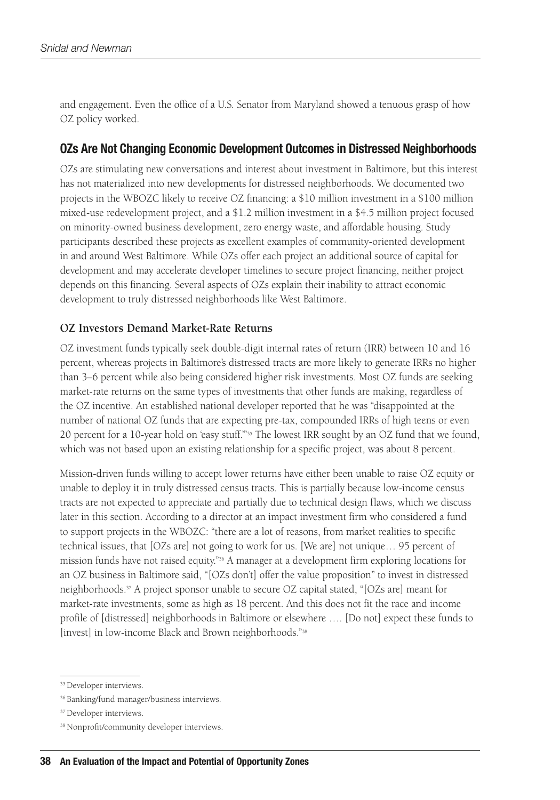and engagement. Even the office of a U.S. Senator from Maryland showed a tenuous grasp of how OZ policy worked.

#### OZs Are Not Changing Economic Development Outcomes in Distressed Neighborhoods

OZs are stimulating new conversations and interest about investment in Baltimore, but this interest has not materialized into new developments for distressed neighborhoods. We documented two projects in the WBOZC likely to receive OZ financing: a \$10 million investment in a \$100 million mixed-use redevelopment project, and a \$1.2 million investment in a \$4.5 million project focused on minority-owned business development, zero energy waste, and affordable housing. Study participants described these projects as excellent examples of community-oriented development in and around West Baltimore. While OZs offer each project an additional source of capital for development and may accelerate developer timelines to secure project financing, neither project depends on this financing. Several aspects of OZs explain their inability to attract economic development to truly distressed neighborhoods like West Baltimore.

#### **OZ Investors Demand Market-Rate Returns**

OZ investment funds typically seek double-digit internal rates of return (IRR) between 10 and 16 percent, whereas projects in Baltimore's distressed tracts are more likely to generate IRRs no higher than 3–6 percent while also being considered higher risk investments. Most OZ funds are seeking market-rate returns on the same types of investments that other funds are making, regardless of the OZ incentive. An established national developer reported that he was "disappointed at the number of national OZ funds that are expecting pre-tax, compounded IRRs of high teens or even 20 percent for a 10-year hold on 'easy stuff.'"35 The lowest IRR sought by an OZ fund that we found, which was not based upon an existing relationship for a specific project, was about 8 percent.

Mission-driven funds willing to accept lower returns have either been unable to raise OZ equity or unable to deploy it in truly distressed census tracts. This is partially because low-income census tracts are not expected to appreciate and partially due to technical design flaws, which we discuss later in this section. According to a director at an impact investment firm who considered a fund to support projects in the WBOZC: "there are a lot of reasons, from market realities to specific technical issues, that [OZs are] not going to work for us. [We are] not unique… 95 percent of mission funds have not raised equity."36 A manager at a development firm exploring locations for an OZ business in Baltimore said, "[OZs don't] offer the value proposition" to invest in distressed neighborhoods.37 A project sponsor unable to secure OZ capital stated, "[OZs are] meant for market-rate investments, some as high as 18 percent. And this does not fit the race and income profile of [distressed] neighborhoods in Baltimore or elsewhere …. [Do not] expect these funds to [invest] in low-income Black and Brown neighborhoods."<sup>38</sup>

<sup>&</sup>lt;sup>35</sup> Developer interviews.

<sup>36</sup> Banking/fund manager/business interviews.

<sup>&</sup>lt;sup>37</sup> Developer interviews.

<sup>38</sup> Nonprofit/community developer interviews.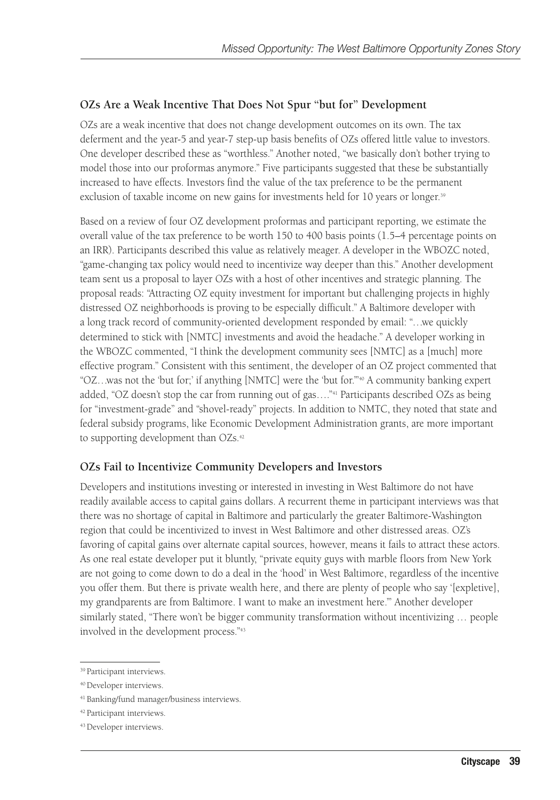#### **OZs Are a Weak Incentive That Does Not Spur "but for" Development**

OZs are a weak incentive that does not change development outcomes on its own. The tax deferment and the year-5 and year-7 step-up basis benefits of OZs offered little value to investors. One developer described these as "worthless." Another noted, "we basically don't bother trying to model those into our proformas anymore." Five participants suggested that these be substantially increased to have effects. Investors find the value of the tax preference to be the permanent exclusion of taxable income on new gains for investments held for 10 years or longer.<sup>39</sup>

Based on a review of four OZ development proformas and participant reporting, we estimate the overall value of the tax preference to be worth 150 to 400 basis points (1.5–4 percentage points on an IRR). Participants described this value as relatively meager. A developer in the WBOZC noted, "game-changing tax policy would need to incentivize way deeper than this." Another development team sent us a proposal to layer OZs with a host of other incentives and strategic planning. The proposal reads: "Attracting OZ equity investment for important but challenging projects in highly distressed OZ neighborhoods is proving to be especially difficult." A Baltimore developer with a long track record of community-oriented development responded by email: "…we quickly determined to stick with [NMTC] investments and avoid the headache." A developer working in the WBOZC commented, "I think the development community sees [NMTC] as a [much] more effective program." Consistent with this sentiment, the developer of an OZ project commented that " $OZ$ ...was not the 'but for;' if anything [NMTC] were the 'but for."<sup>40</sup> A community banking expert added, "OZ doesn't stop the car from running out of gas…."41 Participants described OZs as being for "investment-grade" and "shovel-ready" projects. In addition to NMTC, they noted that state and federal subsidy programs, like Economic Development Administration grants, are more important to supporting development than OZs.<sup>42</sup>

#### **OZs Fail to Incentivize Community Developers and Investors**

Developers and institutions investing or interested in investing in West Baltimore do not have readily available access to capital gains dollars. A recurrent theme in participant interviews was that there was no shortage of capital in Baltimore and particularly the greater Baltimore-Washington region that could be incentivized to invest in West Baltimore and other distressed areas. OZ's favoring of capital gains over alternate capital sources, however, means it fails to attract these actors. As one real estate developer put it bluntly, "private equity guys with marble floors from New York are not going to come down to do a deal in the 'hood' in West Baltimore, regardless of the incentive you offer them. But there is private wealth here, and there are plenty of people who say '[expletive], my grandparents are from Baltimore. I want to make an investment here.'" Another developer similarly stated, "There won't be bigger community transformation without incentivizing … people involved in the development process."43

<sup>39</sup> Participant interviews.

<sup>40</sup> Developer interviews.

<sup>41</sup> Banking/fund manager/business interviews.

<sup>42</sup> Participant interviews.

<sup>43</sup> Developer interviews.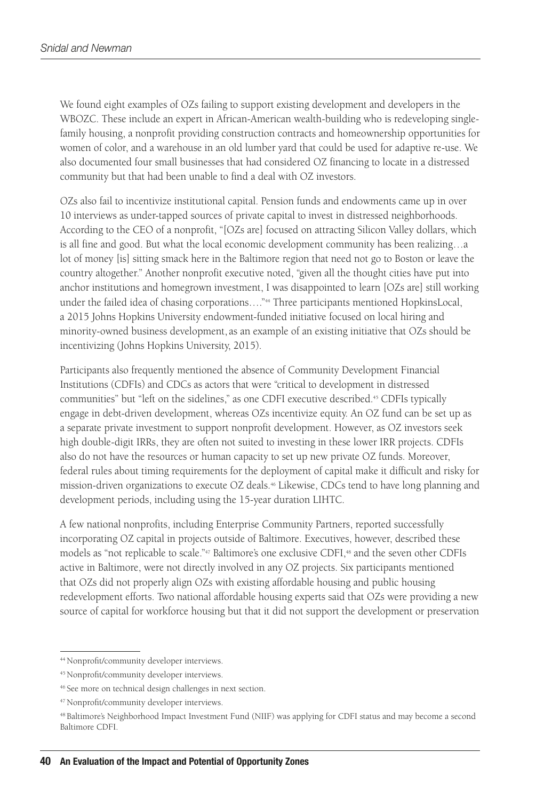We found eight examples of OZs failing to support existing development and developers in the WBOZC. These include an expert in African-American wealth-building who is redeveloping singlefamily housing, a nonprofit providing construction contracts and homeownership opportunities for women of color, and a warehouse in an old lumber yard that could be used for adaptive re-use. We also documented four small businesses that had considered OZ financing to locate in a distressed community but that had been unable to find a deal with OZ investors.

OZs also fail to incentivize institutional capital. Pension funds and endowments came up in over 10 interviews as under-tapped sources of private capital to invest in distressed neighborhoods. According to the CEO of a nonprofit, "[OZs are] focused on attracting Silicon Valley dollars, which is all fine and good. But what the local economic development community has been realizing…a lot of money [is] sitting smack here in the Baltimore region that need not go to Boston or leave the country altogether." Another nonprofit executive noted, "given all the thought cities have put into anchor institutions and homegrown investment, I was disappointed to learn [OZs are] still working under the failed idea of chasing corporations...."<sup>44</sup> Three participants mentioned HopkinsLocal, a 2015 Johns Hopkins University endowment-funded initiative focused on local hiring and minority-owned business development, as an example of an existing initiative that OZs should be incentivizing (Johns Hopkins University, 2015).

Participants also frequently mentioned the absence of Community Development Financial Institutions (CDFIs) and CDCs as actors that were "critical to development in distressed communities" but "left on the sidelines," as one CDFI executive described.<sup>45</sup> CDFIs typically engage in debt-driven development, whereas OZs incentivize equity. An OZ fund can be set up as a separate private investment to support nonprofit development. However, as OZ investors seek high double-digit IRRs, they are often not suited to investing in these lower IRR projects. CDFIs also do not have the resources or human capacity to set up new private OZ funds. Moreover, federal rules about timing requirements for the deployment of capital make it difficult and risky for mission-driven organizations to execute OZ deals.46 Likewise, CDCs tend to have long planning and development periods, including using the 15-year duration LIHTC.

A few national nonprofits, including Enterprise Community Partners, reported successfully incorporating OZ capital in projects outside of Baltimore. Executives, however, described these models as "not replicable to scale."<sup>47</sup> Baltimore's one exclusive CDFI,<sup>48</sup> and the seven other CDFIs active in Baltimore, were not directly involved in any OZ projects. Six participants mentioned that OZs did not properly align OZs with existing affordable housing and public housing redevelopment efforts. Two national affordable housing experts said that OZs were providing a new source of capital for workforce housing but that it did not support the development or preservation

<sup>44</sup> Nonprofit/community developer interviews.

<sup>45</sup> Nonprofit/community developer interviews.

<sup>46</sup> See more on technical design challenges in next section.

<sup>47</sup> Nonprofit/community developer interviews.

<sup>48</sup> Baltimore's Neighborhood Impact Investment Fund (NIIF) was applying for CDFI status and may become a second Baltimore CDFI.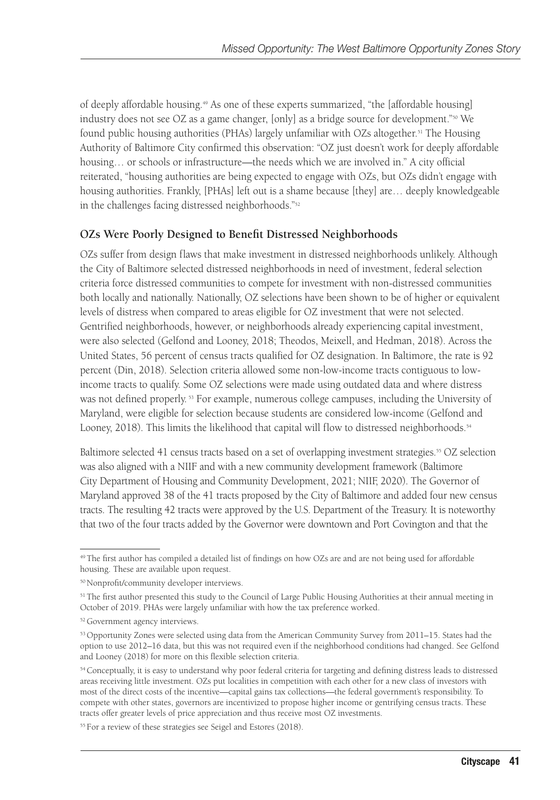of deeply affordable housing.49 As one of these experts summarized, "the [affordable housing] industry does not see OZ as a game changer, [only] as a bridge source for development."50 We found public housing authorities (PHAs) largely unfamiliar with OZs altogether.51 The Housing Authority of Baltimore City confirmed this observation: "OZ just doesn't work for deeply affordable housing… or schools or infrastructure—the needs which we are involved in." A city official reiterated, "housing authorities are being expected to engage with OZs, but OZs didn't engage with housing authorities. Frankly, [PHAs] left out is a shame because [they] are… deeply knowledgeable in the challenges facing distressed neighborhoods."52

#### **OZs Were Poorly Designed to Benefit Distressed Neighborhoods**

OZs suffer from design flaws that make investment in distressed neighborhoods unlikely. Although the City of Baltimore selected distressed neighborhoods in need of investment, federal selection criteria force distressed communities to compete for investment with non-distressed communities both locally and nationally. Nationally, OZ selections have been shown to be of higher or equivalent levels of distress when compared to areas eligible for OZ investment that were not selected. Gentrified neighborhoods, however, or neighborhoods already experiencing capital investment, were also selected (Gelfond and Looney, 2018; Theodos, Meixell, and Hedman, 2018). Across the United States, 56 percent of census tracts qualified for OZ designation. In Baltimore, the rate is 92 percent (Din, 2018). Selection criteria allowed some non-low-income tracts contiguous to lowincome tracts to qualify. Some OZ selections were made using outdated data and where distress was not defined properly. 53 For example, numerous college campuses, including the University of Maryland, were eligible for selection because students are considered low-income (Gelfond and Looney, 2018). This limits the likelihood that capital will flow to distressed neighborhoods.<sup>54</sup>

Baltimore selected 41 census tracts based on a set of overlapping investment strategies.<sup>55</sup> OZ selection was also aligned with a NIIF and with a new community development framework (Baltimore City Department of Housing and Community Development, 2021; NIIF, 2020). The Governor of Maryland approved 38 of the 41 tracts proposed by the City of Baltimore and added four new census tracts. The resulting 42 tracts were approved by the U.S. Department of the Treasury. It is noteworthy that two of the four tracts added by the Governor were downtown and Port Covington and that the

<sup>49</sup> The first author has compiled a detailed list of findings on how OZs are and are not being used for affordable housing. These are available upon request.

<sup>50</sup> Nonprofit/community developer interviews.

<sup>&</sup>lt;sup>51</sup> The first author presented this study to the Council of Large Public Housing Authorities at their annual meeting in October of 2019. PHAs were largely unfamiliar with how the tax preference worked.

<sup>52</sup> Government agency interviews.

<sup>&</sup>lt;sup>53</sup> Opportunity Zones were selected using data from the American Community Survey from 2011–15. States had the option to use 2012–16 data, but this was not required even if the neighborhood conditions had changed. See Gelfond and Looney (2018) for more on this flexible selection criteria.

<sup>&</sup>lt;sup>54</sup> Conceptually, it is easy to understand why poor federal criteria for targeting and defining distress leads to distressed areas receiving little investment. OZs put localities in competition with each other for a new class of investors with most of the direct costs of the incentive—capital gains tax collections—the federal government's responsibility. To compete with other states, governors are incentivized to propose higher income or gentrifying census tracts. These tracts offer greater levels of price appreciation and thus receive most OZ investments.

<sup>55</sup> For a review of these strategies see Seigel and Estores (2018).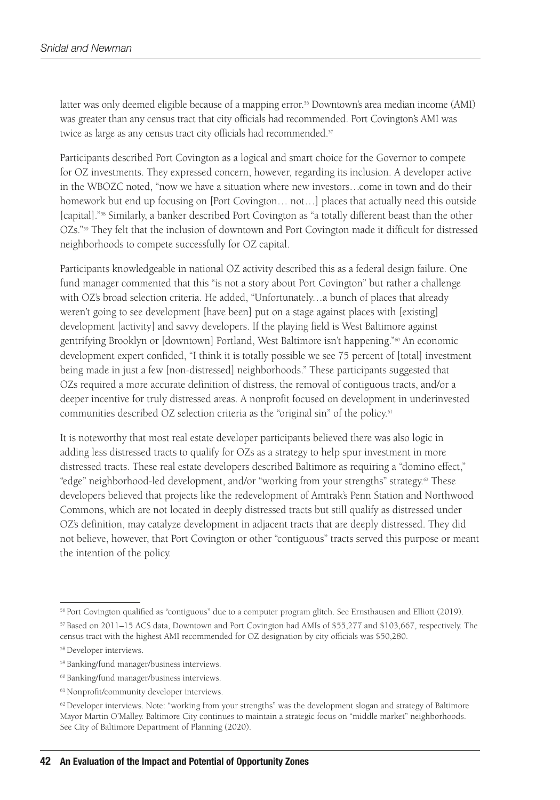latter was only deemed eligible because of a mapping error.56 Downtown's area median income (AMI) was greater than any census tract that city officials had recommended. Port Covington's AMI was twice as large as any census tract city officials had recommended.<sup>57</sup>

Participants described Port Covington as a logical and smart choice for the Governor to compete for OZ investments. They expressed concern, however, regarding its inclusion. A developer active in the WBOZC noted, "now we have a situation where new investors…come in town and do their homework but end up focusing on [Port Covington… not…] places that actually need this outside [capital]."58 Similarly, a banker described Port Covington as "a totally different beast than the other OZs."59 They felt that the inclusion of downtown and Port Covington made it difficult for distressed neighborhoods to compete successfully for OZ capital.

Participants knowledgeable in national OZ activity described this as a federal design failure. One fund manager commented that this "is not a story about Port Covington" but rather a challenge with OZ's broad selection criteria. He added, "Unfortunately…a bunch of places that already weren't going to see development [have been] put on a stage against places with [existing] development [activity] and savvy developers. If the playing field is West Baltimore against gentrifying Brooklyn or [downtown] Portland, West Baltimore isn't happening."60 An economic development expert confided, "I think it is totally possible we see 75 percent of [total] investment being made in just a few [non-distressed] neighborhoods." These participants suggested that OZs required a more accurate definition of distress, the removal of contiguous tracts, and/or a deeper incentive for truly distressed areas. A nonprofit focused on development in underinvested communities described OZ selection criteria as the "original sin" of the policy.61

It is noteworthy that most real estate developer participants believed there was also logic in adding less distressed tracts to qualify for OZs as a strategy to help spur investment in more distressed tracts. These real estate developers described Baltimore as requiring a "domino effect," "edge" neighborhood-led development, and/or "working from your strengths" strategy.<sup>62</sup> These developers believed that projects like the redevelopment of Amtrak's Penn Station and Northwood Commons, which are not located in deeply distressed tracts but still qualify as distressed under OZ's definition, may catalyze development in adjacent tracts that are deeply distressed. They did not believe, however, that Port Covington or other "contiguous" tracts served this purpose or meant the intention of the policy.

<sup>&</sup>lt;sup>56</sup> Port Covington qualified as "contiguous" due to a computer program glitch. See Ernsthausen and Elliott (2019).

<sup>57</sup> Based on 2011–15 ACS data, Downtown and Port Covington had AMIs of \$55,277 and \$103,667, respectively. The census tract with the highest AMI recommended for OZ designation by city officials was \$50,280.

<sup>58</sup> Developer interviews.

<sup>59</sup> Banking/fund manager/business interviews.

<sup>60</sup> Banking/fund manager/business interviews.

<sup>&</sup>lt;sup>61</sup> Nonprofit/community developer interviews.

 $62$  Developer interviews. Note: "working from your strengths" was the development slogan and strategy of Baltimore Mayor Martin O'Malley. Baltimore City continues to maintain a strategic focus on "middle market" neighborhoods. See City of Baltimore Department of Planning (2020).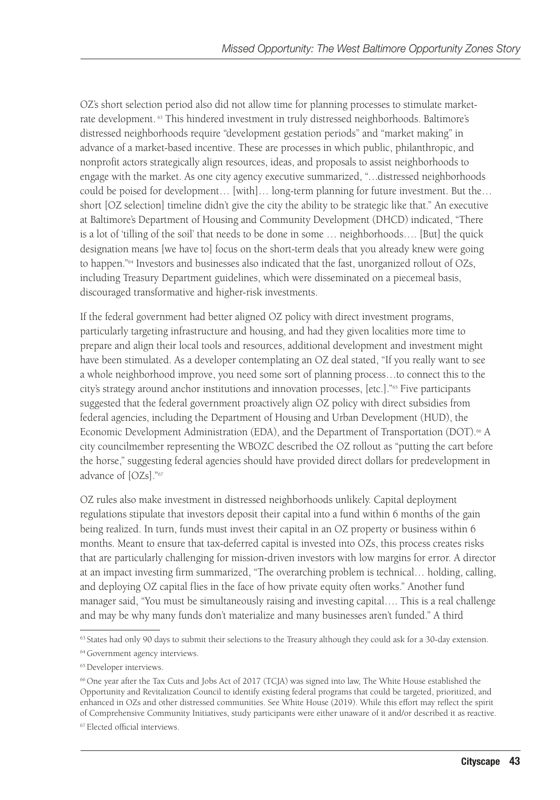OZ's short selection period also did not allow time for planning processes to stimulate marketrate development. 63 This hindered investment in truly distressed neighborhoods. Baltimore's distressed neighborhoods require "development gestation periods" and "market making" in advance of a market-based incentive. These are processes in which public, philanthropic, and nonprofit actors strategically align resources, ideas, and proposals to assist neighborhoods to engage with the market. As one city agency executive summarized, "…distressed neighborhoods could be poised for development… [with]… long-term planning for future investment. But the… short [OZ selection] timeline didn't give the city the ability to be strategic like that." An executive at Baltimore's Department of Housing and Community Development (DHCD) indicated, "There is a lot of 'tilling of the soil' that needs to be done in some … neighborhoods…. [But] the quick designation means [we have to] focus on the short-term deals that you already knew were going to happen."64 Investors and businesses also indicated that the fast, unorganized rollout of OZs, including Treasury Department guidelines, which were disseminated on a piecemeal basis, discouraged transformative and higher-risk investments.

If the federal government had better aligned OZ policy with direct investment programs, particularly targeting infrastructure and housing, and had they given localities more time to prepare and align their local tools and resources, additional development and investment might have been stimulated. As a developer contemplating an OZ deal stated, "If you really want to see a whole neighborhood improve, you need some sort of planning process…to connect this to the city's strategy around anchor institutions and innovation processes, [etc.]."65 Five participants suggested that the federal government proactively align OZ policy with direct subsidies from federal agencies, including the Department of Housing and Urban Development (HUD), the Economic Development Administration (EDA), and the Department of Transportation (DOT).<sup>66</sup> A city councilmember representing the WBOZC described the OZ rollout as "putting the cart before the horse," suggesting federal agencies should have provided direct dollars for predevelopment in advance of [OZs]."67

OZ rules also make investment in distressed neighborhoods unlikely. Capital deployment regulations stipulate that investors deposit their capital into a fund within 6 months of the gain being realized. In turn, funds must invest their capital in an OZ property or business within 6 months. Meant to ensure that tax-deferred capital is invested into OZs, this process creates risks that are particularly challenging for mission-driven investors with low margins for error. A director at an impact investing firm summarized, "The overarching problem is technical… holding, calling, and deploying OZ capital flies in the face of how private equity often works." Another fund manager said, "You must be simultaneously raising and investing capital…. This is a real challenge and may be why many funds don't materialize and many businesses aren't funded." A third

<sup>&</sup>lt;sup>63</sup> States had only 90 days to submit their selections to the Treasury although they could ask for a 30-day extension.

<sup>&</sup>lt;sup>64</sup> Government agency interviews.

<sup>&</sup>lt;sup>65</sup> Developer interviews.

<sup>66</sup> One year after the Tax Cuts and Jobs Act of 2017 (TCJA) was signed into law, The White House established the Opportunity and Revitalization Council to identify existing federal programs that could be targeted, prioritized, and enhanced in OZs and other distressed communities. See White House (2019). While this effort may reflect the spirit of Comprehensive Community Initiatives, study participants were either unaware of it and/or described it as reactive.

<sup>67</sup> Elected official interviews.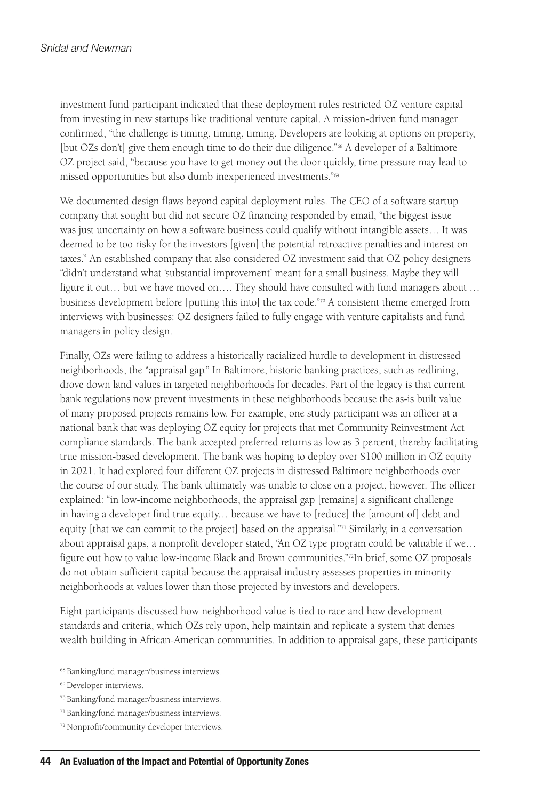investment fund participant indicated that these deployment rules restricted OZ venture capital from investing in new startups like traditional venture capital. A mission-driven fund manager confirmed, "the challenge is timing, timing, timing. Developers are looking at options on property, [but OZs don't] give them enough time to do their due diligence."68 A developer of a Baltimore OZ project said, "because you have to get money out the door quickly, time pressure may lead to missed opportunities but also dumb inexperienced investments."69

We documented design flaws beyond capital deployment rules. The CEO of a software startup company that sought but did not secure OZ financing responded by email, "the biggest issue was just uncertainty on how a software business could qualify without intangible assets… It was deemed to be too risky for the investors [given] the potential retroactive penalties and interest on taxes." An established company that also considered OZ investment said that OZ policy designers "didn't understand what 'substantial improvement' meant for a small business. Maybe they will figure it out… but we have moved on…. They should have consulted with fund managers about … business development before [putting this into] the tax code." $\pi$ <sup>0</sup> A consistent theme emerged from interviews with businesses: OZ designers failed to fully engage with venture capitalists and fund managers in policy design.

Finally, OZs were failing to address a historically racialized hurdle to development in distressed neighborhoods, the "appraisal gap." In Baltimore, historic banking practices, such as redlining, drove down land values in targeted neighborhoods for decades. Part of the legacy is that current bank regulations now prevent investments in these neighborhoods because the as-is built value of many proposed projects remains low. For example, one study participant was an officer at a national bank that was deploying OZ equity for projects that met Community Reinvestment Act compliance standards. The bank accepted preferred returns as low as 3 percent, thereby facilitating true mission-based development. The bank was hoping to deploy over \$100 million in OZ equity in 2021. It had explored four different OZ projects in distressed Baltimore neighborhoods over the course of our study. The bank ultimately was unable to close on a project, however. The officer explained: "in low-income neighborhoods, the appraisal gap [remains] a significant challenge in having a developer find true equity… because we have to [reduce] the [amount of] debt and equity [that we can commit to the project] based on the appraisal. $n_{1}$  Similarly, in a conversation about appraisal gaps, a nonprofit developer stated, "An OZ type program could be valuable if we… figure out how to value low-income Black and Brown communities."72In brief, some OZ proposals do not obtain sufficient capital because the appraisal industry assesses properties in minority neighborhoods at values lower than those projected by investors and developers.

Eight participants discussed how neighborhood value is tied to race and how development standards and criteria, which OZs rely upon, help maintain and replicate a system that denies wealth building in African-American communities. In addition to appraisal gaps, these participants

<sup>&</sup>lt;sup>68</sup> Banking/fund manager/business interviews.

<sup>&</sup>lt;sup>69</sup> Developer interviews.

<sup>70</sup> Banking/fund manager/business interviews.

<sup>71</sup> Banking/fund manager/business interviews.

<sup>72</sup> Nonprofit/community developer interviews.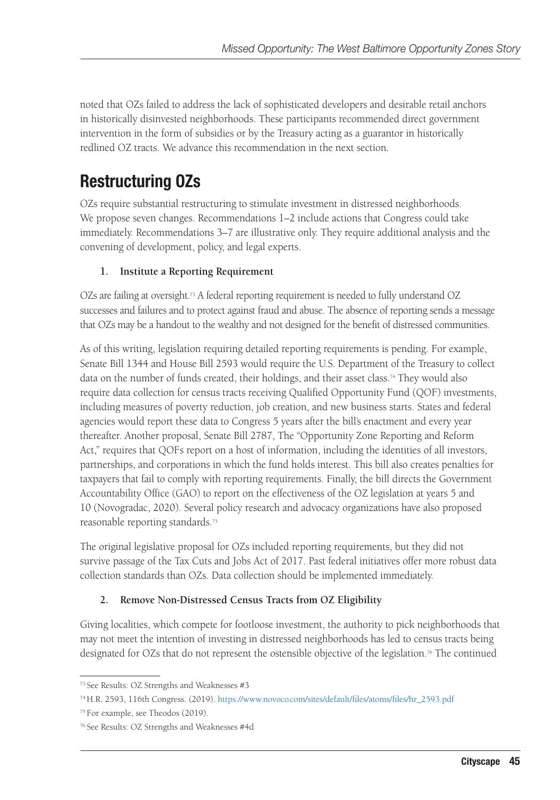noted that OZs failed to address the lack of sophisticated developers and desirable retail anchors in historically disinvested neighborhoods. These participants recommended direct government intervention in the form of subsidies or by the Treasury acting as a guarantor in historically redlined OZ tracts. We advance this recommendation in the next section.

## Restructuring OZs

OZs require substantial restructuring to stimulate investment in distressed neighborhoods. We propose seven changes. Recommendations 1–2 include actions that Congress could take immediately. Recommendations 3–7 are illustrative only. They require additional analysis and the convening of development, policy, and legal experts.

#### **1. Institute a Reporting Requirement**

OZs are failing at oversight.<sup>73</sup> A federal reporting requirement is needed to fully understand OZ successes and failures and to protect against fraud and abuse. The absence of reporting sends a message that OZs may be a handout to the wealthy and not designed for the benefit of distressed communities.

As of this writing, legislation requiring detailed reporting requirements is pending. For example, Senate Bill 1344 and House Bill 2593 would require the U.S. Department of the Treasury to collect data on the number of funds created, their holdings, and their asset class.<sup>74</sup> They would also require data collection for census tracts receiving Qualified Opportunity Fund (QOF) investments, including measures of poverty reduction, job creation, and new business starts. States and federal agencies would report these data to Congress 5 years after the bill's enactment and every year thereafter. Another proposal, Senate Bill 2787, The "Opportunity Zone Reporting and Reform Act," requires that QOFs report on a host of information, including the identities of all investors, partnerships, and corporations in which the fund holds interest. This bill also creates penalties for taxpayers that fail to comply with reporting requirements. Finally, the bill directs the Government Accountability Office (GAO) to report on the effectiveness of the OZ legislation at years 5 and 10 (Novogradac, 2020). Several policy research and advocacy organizations have also proposed reasonable reporting standards.75

The original legislative proposal for OZs included reporting requirements, but they did not survive passage of the Tax Cuts and Jobs Act of 2017. Past federal initiatives offer more robust data collection standards than OZs. Data collection should be implemented immediately.

#### **2. Remove Non-Distressed Census Tracts from OZ Eligibility**

Giving localities, which compete for footloose investment, the authority to pick neighborhoods that may not meet the intention of investing in distressed neighborhoods has led to census tracts being designated for OZs that do not represent the ostensible objective of the legislation.76 The continued

<sup>73</sup> See Results: OZ Strengths and Weaknesses #3

<sup>74</sup> H.R. 2593, 116th Congress. (2019). [https://www.novoco.com/sites/default/files/atoms/files/hr\\_2593.pdf](https://www.novoco.com/sites/default/files/atoms/files/hr_2593.pdf)

<sup>75</sup> For example, see Theodos (2019).

<sup>76</sup> See Results: OZ Strengths and Weaknesses #4d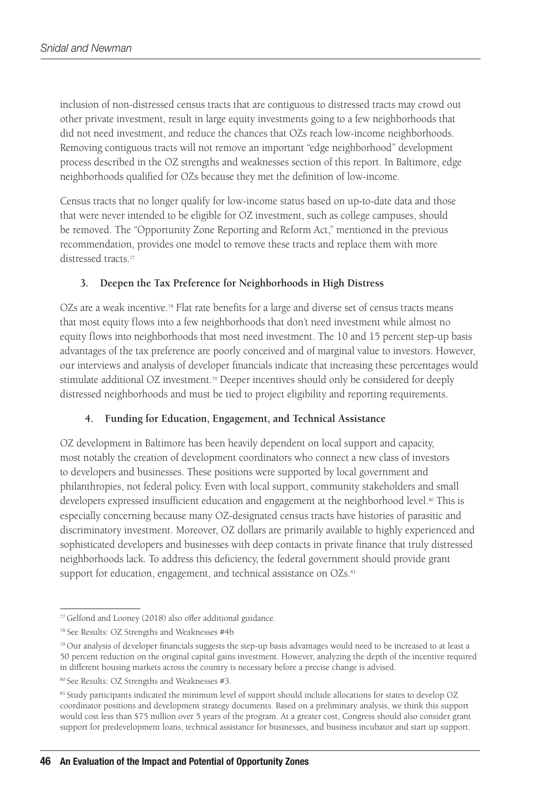inclusion of non-distressed census tracts that are contiguous to distressed tracts may crowd out other private investment, result in large equity investments going to a few neighborhoods that did not need investment, and reduce the chances that OZs reach low-income neighborhoods. Removing contiguous tracts will not remove an important "edge neighborhood" development process described in the OZ strengths and weaknesses section of this report. In Baltimore, edge neighborhoods qualified for OZs because they met the definition of low-income.

Census tracts that no longer qualify for low-income status based on up-to-date data and those that were never intended to be eligible for OZ investment, such as college campuses, should be removed. The "Opportunity Zone Reporting and Reform Act," mentioned in the previous recommendation, provides one model to remove these tracts and replace them with more distressed tracts.<sup>77</sup>

#### **3. Deepen the Tax Preference for Neighborhoods in High Distress**

OZs are a weak incentive.<sup>78</sup> Flat rate benefits for a large and diverse set of census tracts means that most equity flows into a few neighborhoods that don't need investment while almost no equity flows into neighborhoods that most need investment. The 10 and 15 percent step-up basis advantages of the tax preference are poorly conceived and of marginal value to investors. However, our interviews and analysis of developer financials indicate that increasing these percentages would stimulate additional OZ investment.79 Deeper incentives should only be considered for deeply distressed neighborhoods and must be tied to project eligibility and reporting requirements.

#### **4. Funding for Education, Engagement, and Technical Assistance**

OZ development in Baltimore has been heavily dependent on local support and capacity, most notably the creation of development coordinators who connect a new class of investors to developers and businesses. These positions were supported by local government and philanthropies, not federal policy. Even with local support, community stakeholders and small developers expressed insufficient education and engagement at the neighborhood level.<sup>80</sup> This is especially concerning because many OZ-designated census tracts have histories of parasitic and discriminatory investment. Moreover, OZ dollars are primarily available to highly experienced and sophisticated developers and businesses with deep contacts in private finance that truly distressed neighborhoods lack. To address this deficiency, the federal government should provide grant support for education, engagement, and technical assistance on OZs.<sup>81</sup>

<sup>77</sup> Gelfond and Looney (2018) also offer additional guidance.

<sup>78</sup> See Results: OZ Strengths and Weaknesses #4b

<sup>79</sup> Our analysis of developer financials suggests the step-up basis advantages would need to be increased to at least a 50 percent reduction on the original capital gains investment. However, analyzing the depth of the incentive required in different housing markets across the country is necessary before a precise change is advised.

<sup>80</sup> See Results: OZ Strengths and Weaknesses #3.

<sup>&</sup>lt;sup>81</sup> Study participants indicated the minimum level of support should include allocations for states to develop OZ coordinator positions and development strategy documents. Based on a preliminary analysis, we think this support would cost less than \$75 million over 5 years of the program. At a greater cost, Congress should also consider grant support for predevelopment loans, technical assistance for businesses, and business incubator and start up support.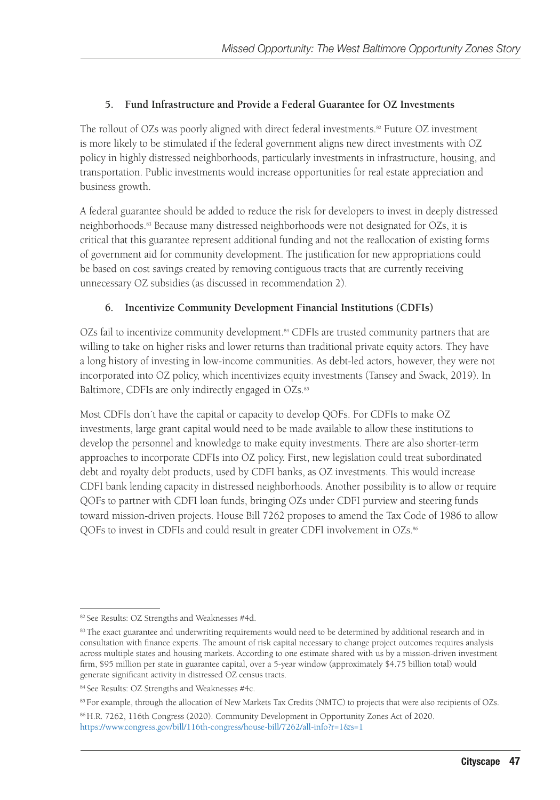#### **5. Fund Infrastructure and Provide a Federal Guarantee for OZ Investments**

The rollout of OZs was poorly aligned with direct federal investments.<sup>82</sup> Future OZ investment is more likely to be stimulated if the federal government aligns new direct investments with OZ policy in highly distressed neighborhoods, particularly investments in infrastructure, housing, and transportation. Public investments would increase opportunities for real estate appreciation and business growth.

A federal guarantee should be added to reduce the risk for developers to invest in deeply distressed neighborhoods.83 Because many distressed neighborhoods were not designated for OZs, it is critical that this guarantee represent additional funding and not the reallocation of existing forms of government aid for community development. The justification for new appropriations could be based on cost savings created by removing contiguous tracts that are currently receiving unnecessary OZ subsidies (as discussed in recommendation 2).

#### **6. Incentivize Community Development Financial Institutions (CDFIs)**

OZs fail to incentivize community development.<sup>84</sup> CDFIs are trusted community partners that are willing to take on higher risks and lower returns than traditional private equity actors. They have a long history of investing in low-income communities. As debt-led actors, however, they were not incorporated into OZ policy, which incentivizes equity investments (Tansey and Swack, 2019). In Baltimore, CDFIs are only indirectly engaged in OZs.<sup>85</sup>

Most CDFIs don´t have the capital or capacity to develop QOFs. For CDFIs to make OZ investments, large grant capital would need to be made available to allow these institutions to develop the personnel and knowledge to make equity investments. There are also shorter-term approaches to incorporate CDFIs into OZ policy. First, new legislation could treat subordinated debt and royalty debt products, used by CDFI banks, as OZ investments. This would increase CDFI bank lending capacity in distressed neighborhoods. Another possibility is to allow or require QOFs to partner with CDFI loan funds, bringing OZs under CDFI purview and steering funds toward mission-driven projects. House Bill 7262 proposes to amend the Tax Code of 1986 to allow QOFs to invest in CDFIs and could result in greater CDFI involvement in OZs.<sup>86</sup>

<sup>85</sup> For example, through the allocation of New Markets Tax Credits (NMTC) to projects that were also recipients of OZs.

86 H.R. 7262, 116th Congress (2020). Community Development in Opportunity Zones Act of 2020. <https://www.congress.gov/bill/116th-congress/house-bill/7262/all-info?r=1&s=1>

<sup>82</sup> See Results: OZ Strengths and Weaknesses #4d.

<sup>&</sup>lt;sup>83</sup> The exact guarantee and underwriting requirements would need to be determined by additional research and in consultation with finance experts. The amount of risk capital necessary to change project outcomes requires analysis across multiple states and housing markets. According to one estimate shared with us by a mission-driven investment firm, \$95 million per state in guarantee capital, over a 5-year window (approximately \$4.75 billion total) would generate significant activity in distressed OZ census tracts.

<sup>84</sup> See Results: OZ Strengths and Weaknesses #4c.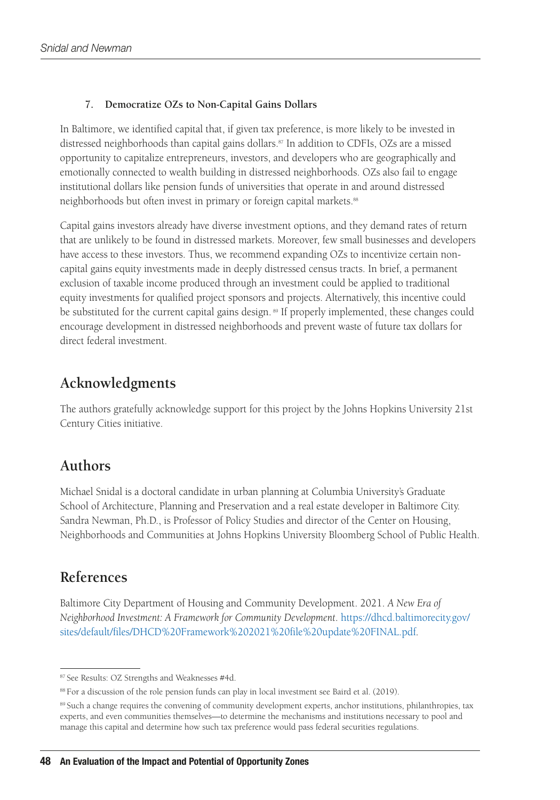#### **7. Democratize OZs to Non-Capital Gains Dollars**

In Baltimore, we identified capital that, if given tax preference, is more likely to be invested in distressed neighborhoods than capital gains dollars.87 In addition to CDFIs, OZs are a missed opportunity to capitalize entrepreneurs, investors, and developers who are geographically and emotionally connected to wealth building in distressed neighborhoods. OZs also fail to engage institutional dollars like pension funds of universities that operate in and around distressed neighborhoods but often invest in primary or foreign capital markets.<sup>88</sup>

Capital gains investors already have diverse investment options, and they demand rates of return that are unlikely to be found in distressed markets. Moreover, few small businesses and developers have access to these investors. Thus, we recommend expanding OZs to incentivize certain noncapital gains equity investments made in deeply distressed census tracts. In brief, a permanent exclusion of taxable income produced through an investment could be applied to traditional equity investments for qualified project sponsors and projects. Alternatively, this incentive could be substituted for the current capital gains design. 89 If properly implemented, these changes could encourage development in distressed neighborhoods and prevent waste of future tax dollars for direct federal investment.

#### **Acknowledgments**

The authors gratefully acknowledge support for this project by the Johns Hopkins University 21st Century Cities initiative.

#### **Authors**

Michael Snidal is a doctoral candidate in urban planning at Columbia University's Graduate School of Architecture, Planning and Preservation and a real estate developer in Baltimore City. Sandra Newman, Ph.D., is Professor of Policy Studies and director of the Center on Housing, Neighborhoods and Communities at Johns Hopkins University Bloomberg School of Public Health.

#### **References**

Baltimore City Department of Housing and Community Development. 2021. *A New Era of Neighborhood Investment: A Framework for Community Development*. [https://dhcd.baltimorecity.gov/](https://dhcd.baltimorecity.gov/sites/default/files/DHCD%20Framework%202021%20file%20update%20FINAL.pdf) [sites/default/files/DHCD%20Framework%202021%20file%20update%20FINAL.pdf](https://dhcd.baltimorecity.gov/sites/default/files/DHCD%20Framework%202021%20file%20update%20FINAL.pdf).

<sup>87</sup> See Results: OZ Strengths and Weaknesses #4d.

<sup>88</sup> For a discussion of the role pension funds can play in local investment see Baird et al. (2019).

<sup>&</sup>lt;sup>89</sup> Such a change requires the convening of community development experts, anchor institutions, philanthropies, tax experts, and even communities themselves—to determine the mechanisms and institutions necessary to pool and manage this capital and determine how such tax preference would pass federal securities regulations.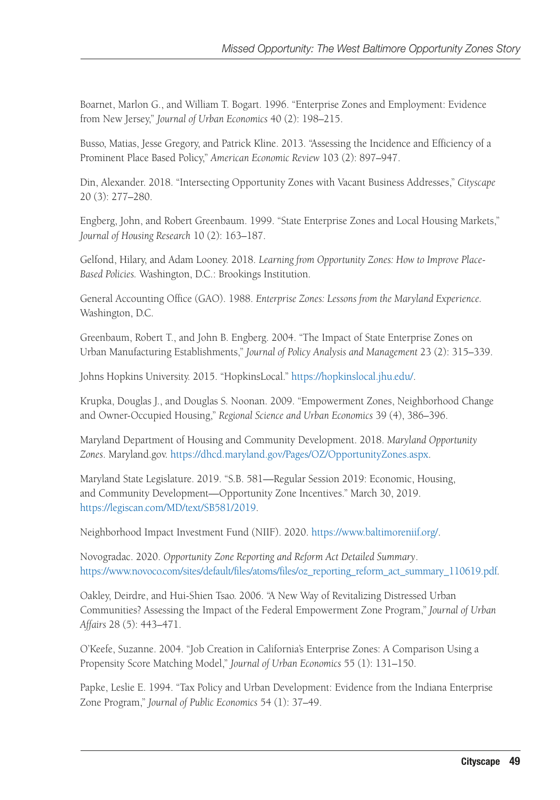Boarnet, Marlon G., and William T. Bogart. 1996. "Enterprise Zones and Employment: Evidence from New Jersey," *Journal of Urban Economics* 40 (2): 198–215.

Busso, Matias, Jesse Gregory, and Patrick Kline. 2013. "Assessing the Incidence and Efficiency of a Prominent Place Based Policy," *American Economic Review* 103 (2): 897–947.

Din, Alexander. 2018. "Intersecting Opportunity Zones with Vacant Business Addresses," *Cityscape* 20 (3): 277–280.

Engberg, John, and Robert Greenbaum. 1999. "State Enterprise Zones and Local Housing Markets," *Journal of Housing Research* 10 (2): 163–187.

Gelfond, Hilary, and Adam Looney. 2018. *Learning from Opportunity Zones: How to Improve Place-Based Policies.* Washington, D.C.: Brookings Institution.

General Accounting Office (GAO). 1988. *Enterprise Zones: Lessons from the Maryland Experience.* Washington, D.C.

Greenbaum, Robert T., and John B. Engberg. 2004. "The Impact of State Enterprise Zones on Urban Manufacturing Establishments," *Journal of Policy Analysis and Management* 23 (2): 315–339.

Johns Hopkins University. 2015. "HopkinsLocal." [https://hopkinslocal.jhu.edu/.](https://hopkinslocal.jhu.edu/)

Krupka, Douglas J., and Douglas S. Noonan. 2009. "Empowerment Zones, Neighborhood Change and Owner-Occupied Housing," *Regional Science and Urban Economics* 39 (4), 386–396.

Maryland Department of Housing and Community Development. 2018. *Maryland Opportunity Zones*. Maryland.gov.<https://dhcd.maryland.gov/Pages/OZ/OpportunityZones.aspx>.

Maryland State Legislature. 2019. "S.B. 581—Regular Session 2019: Economic, Housing, and Community Development—Opportunity Zone Incentives." March 30, 2019. <https://legiscan.com/MD/text/SB581/2019>.

Neighborhood Impact Investment Fund (NIIF). 2020.<https://www.baltimoreniif.org/>.

Novogradac. 2020. *Opportunity Zone Reporting and Reform Act Detailed Summary*. [https://www.novoco.com/sites/default/files/atoms/files/oz\\_reporting\\_reform\\_act\\_summary\\_110619.pdf](https://www.novoco.com/sites/default/files/atoms/files/oz_reporting_reform_act_summary_110619.pdf).

Oakley, Deirdre, and Hui-Shien Tsao. 2006. "A New Way of Revitalizing Distressed Urban Communities? Assessing the Impact of the Federal Empowerment Zone Program," *Journal of Urban Affairs* 28 (5): 443–471.

O'Keefe, Suzanne. 2004. "Job Creation in California's Enterprise Zones: A Comparison Using a Propensity Score Matching Model," *Journal of Urban Economics* 55 (1): 131–150.

Papke, Leslie E. 1994. "Tax Policy and Urban Development: Evidence from the Indiana Enterprise Zone Program," *Journal of Public Economics* 54 (1): 37–49.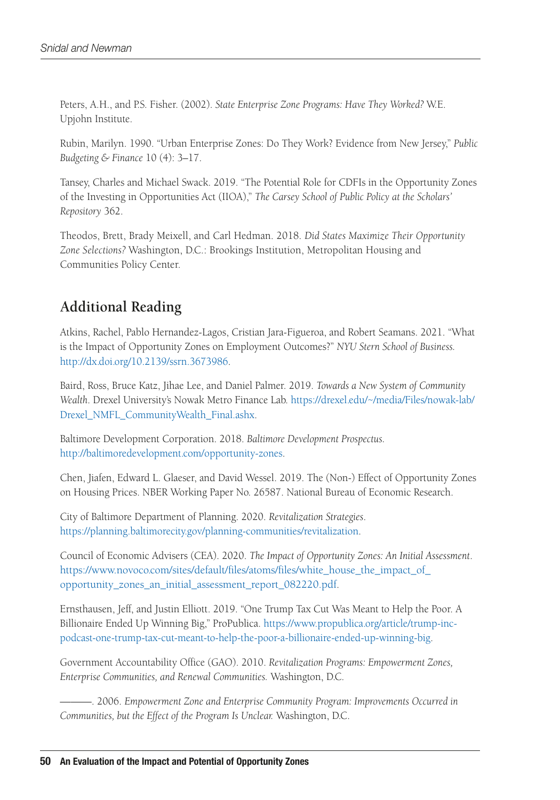Peters, A.H., and P.S. Fisher. (2002). *State Enterprise Zone Programs: Have They Worked?* W.E. Upjohn Institute.

Rubin, Marilyn. 1990. "Urban Enterprise Zones: Do They Work? Evidence from New Jersey," *Public Budgeting & Finance* 10 (4): 3–17.

Tansey, Charles and Michael Swack. 2019. "The Potential Role for CDFIs in the Opportunity Zones of the Investing in Opportunities Act (IIOA)," *The Carsey School of Public Policy at the Scholars' Repository* 362.

Theodos, Brett, Brady Meixell, and Carl Hedman. 2018. *Did States Maximize Their Opportunity Zone Selections?* Washington, D.C.: Brookings Institution, Metropolitan Housing and Communities Policy Center.

### **Additional Reading**

Atkins, Rachel, Pablo Hernandez-Lagos, Cristian Jara-Figueroa, and Robert Seamans. 2021. "What is the Impact of Opportunity Zones on Employment Outcomes?" *NYU Stern School of Business.* <http://dx.doi.org/10.2139/ssrn.3673986>.

Baird, Ross, Bruce Katz, Jihae Lee, and Daniel Palmer. 2019. *Towards a New System of Community Wealth*. Drexel University's Nowak Metro Finance Lab. [https://drexel.edu/~/media/Files/nowak-lab/](https://drexel.edu/~/media/Files/nowak-lab/Drexel_NMFL_CommunityWealth_Final.ashx) [Drexel\\_NMFL\\_CommunityWealth\\_Final.ashx](https://drexel.edu/~/media/Files/nowak-lab/Drexel_NMFL_CommunityWealth_Final.ashx).

Baltimore Development Corporation. 2018. *Baltimore Development Prospectus.* <http://baltimoredevelopment.com/opportunity-zones>.

Chen, Jiafen, Edward L. Glaeser, and David Wessel. 2019. The (Non-) Effect of Opportunity Zones on Housing Prices. NBER Working Paper No. 26587. National Bureau of Economic Research.

City of Baltimore Department of Planning. 2020. *Revitalization Strategies*. [https://planning.baltimorecity.gov/planning-communities/revitalization.](https://planning.baltimorecity.gov/planning-communities/revitalization)

Council of Economic Advisers (CEA). 2020. *The Impact of Opportunity Zones: An Initial Assessment*. [https://www.novoco.com/sites/default/files/atoms/files/white\\_house\\_the\\_impact\\_of\\_](https://www.novoco.com/sites/default/files/atoms/files/white_house_the_impact_of_opportunity_zones_an_initial_assessment_report_082220.pdf) [opportunity\\_zones\\_an\\_initial\\_assessment\\_report\\_082220.pdf.](https://www.novoco.com/sites/default/files/atoms/files/white_house_the_impact_of_opportunity_zones_an_initial_assessment_report_082220.pdf)

Ernsthausen, Jeff, and Justin Elliott. 2019. "One Trump Tax Cut Was Meant to Help the Poor. A Billionaire Ended Up Winning Big," ProPublica. [https://www.propublica.org/article/trump-inc](https://www.propublica.org/article/trump-inc-podcast-one-trump-tax-cut-meant-to-help-the-poor-a-billionaire-ended-up-winning-big)[podcast-one-trump-tax-cut-meant-to-help-the-poor-a-billionaire-ended-up-winning-big](https://www.propublica.org/article/trump-inc-podcast-one-trump-tax-cut-meant-to-help-the-poor-a-billionaire-ended-up-winning-big).

Government Accountability Office (GAO). 2010. *Revitalization Programs: Empowerment Zones, Enterprise Communities, and Renewal Communities.* Washington, D.C.

———. 2006. *Empowerment Zone and Enterprise Community Program: Improvements Occurred in Communities, but the Effect of the Program Is Unclear.* Washington, D.C.